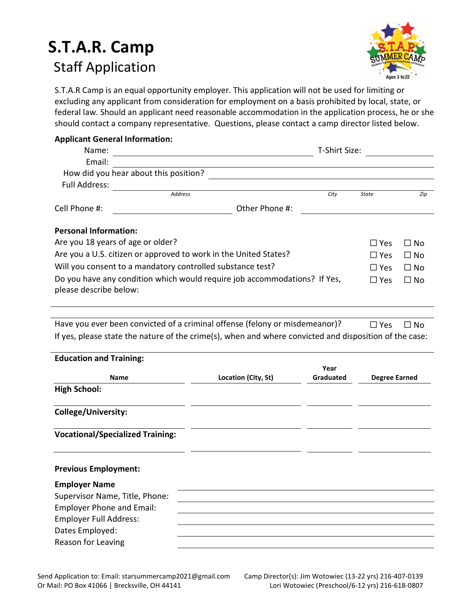# S.T.A.R. Camp Staff Application



S.T.A.R Camp is an equal opportunity employer. This application will not be used for limiting or excluding any applicant from consideration for employment on a basis prohibited by local, state, or federal law. Should an applicant need reasonable accommodation in the application process, he or she should contact a company representative. Questions, please contact a camp director listed below.

### Applicant General Information:

| Name:                                                                                               |                                       | T-Shirt Size: |            |           |
|-----------------------------------------------------------------------------------------------------|---------------------------------------|---------------|------------|-----------|
| Email:                                                                                              |                                       |               |            |           |
|                                                                                                     | How did you hear about this position? |               |            |           |
| <b>Full Address:</b>                                                                                |                                       |               |            |           |
|                                                                                                     | <b>Address</b>                        | City          | State      | Zip       |
| Cell Phone #:                                                                                       | Other Phone #:                        |               |            |           |
| <b>Personal Information:</b>                                                                        |                                       |               |            |           |
| Are you 18 years of age or older?                                                                   |                                       |               | $\Box$ Yes | □ No      |
| Are you a U.S. citizen or approved to work in the United States?                                    |                                       |               | $\Box$ Yes | $\Box$ No |
| Will you consent to a mandatory controlled substance test?                                          |                                       |               | $\Box$ Yes | $\Box$ No |
| Do you have any condition which would require job accommodations? If Yes,<br>please describe below: |                                       |               | $\Box$ Yes | $\Box$ No |
|                                                                                                     |                                       |               |            |           |

Have you ever been convicted of a criminal offense (felony or misdemeanor)?  $□$  Yes  $□$  No If yes, please state the nature of the crime(s), when and where convicted and disposition of the case:

| <b>Education and Training:</b>          |                     |                   |                      |
|-----------------------------------------|---------------------|-------------------|----------------------|
| <b>Name</b>                             | Location (City, St) | Year<br>Graduated | <b>Degree Earned</b> |
| <b>High School:</b>                     |                     |                   |                      |
| College/University:                     |                     |                   |                      |
| <b>Vocational/Specialized Training:</b> |                     |                   |                      |
| <b>Previous Employment:</b>             |                     |                   |                      |
| <b>Employer Name</b>                    |                     |                   |                      |
| Supervisor Name, Title, Phone:          |                     |                   |                      |
| <b>Employer Phone and Email:</b>        |                     |                   |                      |
| <b>Employer Full Address:</b>           |                     |                   |                      |
| Dates Employed:                         |                     |                   |                      |
| Reason for Leaving                      |                     |                   |                      |
|                                         |                     |                   |                      |